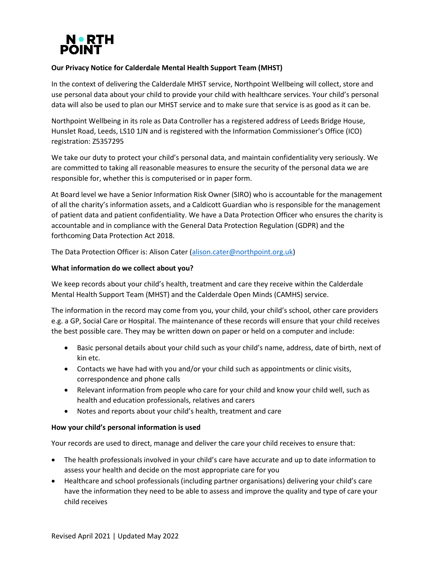

# **Our Privacy Notice for Calderdale Mental Health Support Team (MHST)**

In the context of delivering the Calderdale MHST service, Northpoint Wellbeing will collect, store and use personal data about your child to provide your child with healthcare services. Your child's personal data will also be used to plan our MHST service and to make sure that service is as good as it can be.

Northpoint Wellbeing in its role as Data Controller has a registered address of Leeds Bridge House, Hunslet Road, Leeds, LS10 1JN and is registered with the Information Commissioner's Office (ICO) registration: Z5357295

We take our duty to protect your child's personal data, and maintain confidentiality very seriously. We are committed to taking all reasonable measures to ensure the security of the personal data we are responsible for, whether this is computerised or in paper form.

At Board level we have a Senior Information Risk Owner (SIRO) who is accountable for the management of all the charity's information assets, and a Caldicott Guardian who is responsible for the management of patient data and patient confidentiality. We have a Data Protection Officer who ensures the charity is accountable and in compliance with the General Data Protection Regulation (GDPR) and the forthcoming Data Protection Act 2018.

The Data Protection Officer is: Alison Cater [\(alison.cater@northpoint.org.uk\)](mailto:alison.cater@northpoint.org.uk)

## **What information do we collect about you?**

We keep records about your child's health, treatment and care they receive within the Calderdale Mental Health Support Team (MHST) and the Calderdale Open Minds (CAMHS) service.

The information in the record may come from you, your child, your child's school, other care providers e.g. a GP, Social Care or Hospital. The maintenance of these records will ensure that your child receives the best possible care. They may be written down on paper or held on a computer and include:

- Basic personal details about your child such as your child's name, address, date of birth, next of kin etc.
- Contacts we have had with you and/or your child such as appointments or clinic visits, correspondence and phone calls
- Relevant information from people who care for your child and know your child well, such as health and education professionals, relatives and carers
- Notes and reports about your child's health, treatment and care

## **How your child's personal information is used**

Your records are used to direct, manage and deliver the care your child receives to ensure that:

- The health professionals involved in your child's care have accurate and up to date information to assess your health and decide on the most appropriate care for you
- Healthcare and school professionals (including partner organisations) delivering your child's care have the information they need to be able to assess and improve the quality and type of care your child receives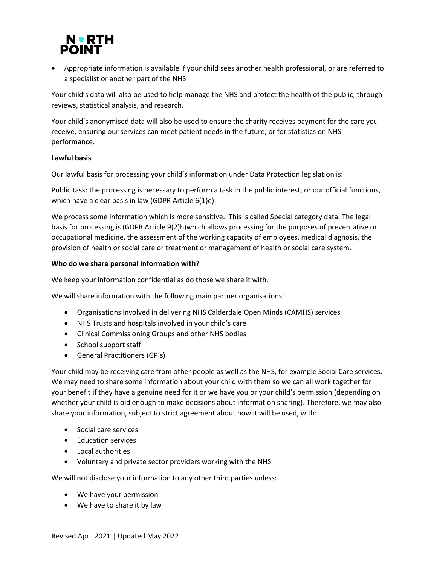

• Appropriate information is available if your child sees another health professional, or are referred to a specialist or another part of the NHS

Your child's data will also be used to help manage the NHS and protect the health of the public, through reviews, statistical analysis, and research.

Your child's anonymised data will also be used to ensure the charity receives payment for the care you receive, ensuring our services can meet patient needs in the future, or for statistics on NHS performance.

## **Lawful basis**

Our lawful basis for processing your child's information under Data Protection legislation is:

Public task: the processing is necessary to perform a task in the public interest, or our official functions, which have a clear basis in law (GDPR Article 6(1)e).

We process some information which is more sensitive. This is called Special category data. The legal basis for processing is (GDPR Article 9(2)h)which allows processing for the purposes of preventative or occupational medicine, the assessment of the working capacity of employees, medical diagnosis, the provision of health or social care or treatment or management of health or social care system.

## **Who do we share personal information with?**

We keep your information confidential as do those we share it with.

We will share information with the following main partner organisations:

- Organisations involved in delivering NHS Calderdale Open Minds (CAMHS) services
- NHS Trusts and hospitals involved in your child's care
- Clinical Commissioning Groups and other NHS bodies
- School support staff
- General Practitioners (GP's)

Your child may be receiving care from other people as well as the NHS, for example Social Care services. We may need to share some information about your child with them so we can all work together for your benefit if they have a genuine need for it or we have you or your child's permission (depending on whether your child is old enough to make decisions about information sharing). Therefore, we may also share your information, subject to strict agreement about how it will be used, with:

- Social care services
- Education services
- Local authorities
- Voluntary and private sector providers working with the NHS

We will not disclose your information to any other third parties unless:

- We have your permission
- We have to share it by law